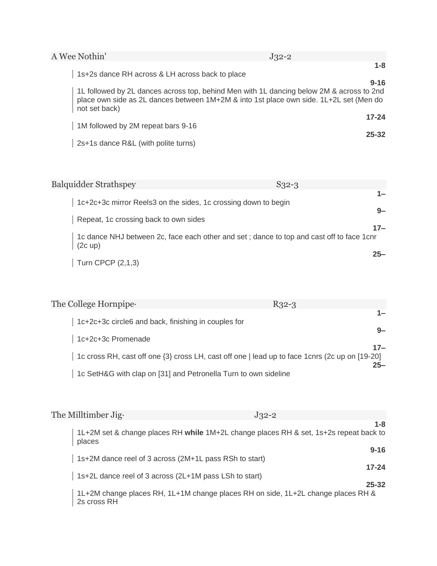| A Wee Nothin'                                   | $J32-2$                                                                                                                                                                            |
|-------------------------------------------------|------------------------------------------------------------------------------------------------------------------------------------------------------------------------------------|
| 1s+2s dance RH across & LH across back to place | $1 - 8$                                                                                                                                                                            |
|                                                 | $9 - 16$                                                                                                                                                                           |
| not set back)                                   | 1L followed by 2L dances across top, behind Men with 1L dancing below 2M & across to 2nd<br>place own side as 2L dances between 1M+2M & into 1st place own side. 1L+2L set (Men do |
|                                                 | $17 - 24$                                                                                                                                                                          |
| 1M followed by 2M repeat bars 9-16              | $25 - 32$                                                                                                                                                                          |
| 2s+1s dance R&L (with polite turns)             |                                                                                                                                                                                    |

| <b>Balquidder Strathspey</b>                                   | $S32-3$                                                                                  |
|----------------------------------------------------------------|------------------------------------------------------------------------------------------|
| 1c+2c+3c mirror Reels3 on the sides, 1c crossing down to begin | 1—<br>$9-$                                                                               |
| Repeat, 1c crossing back to own sides                          | $17-$                                                                                    |
| $(2c \text{ up})$                                              | 1c dance NHJ between 2c, face each other and set; dance to top and cast off to face 1cnr |
| Turn CPCP (2,1,3)                                              | $25 -$                                                                                   |

| The College Hornpipe.                                           | $R32-3$                                                                                                  |
|-----------------------------------------------------------------|----------------------------------------------------------------------------------------------------------|
| 1c+2c+3c circle6 and back, finishing in couples for             |                                                                                                          |
| 1c+2c+3c Promenade                                              | $Q_{-}$                                                                                                  |
|                                                                 | $17-$<br>1c cross RH, cast off one {3} cross LH, cast off one   lead up to face 1 cnrs (2c up on [19-20] |
| 1c SetH&G with clap on [31] and Petronella Turn to own sideline | $25 -$                                                                                                   |

| The Milltimber Jig.                                    | $J32-2$                                                                                          |
|--------------------------------------------------------|--------------------------------------------------------------------------------------------------|
| places                                                 | $1 - 8$<br>1L+2M set & change places RH while 1M+2L change places RH & set, 1s+2s repeat back to |
| 1s+2M dance reel of 3 across (2M+1L pass RSh to start) | $9 - 16$<br>$17 - 24$                                                                            |
| 1s+2L dance reel of 3 across (2L+1M pass LSh to start) | $25 - 32$                                                                                        |
|                                                        | 1L+2M change places RH, 1L+1M change places RH on side, 1L+2L change places RH &<br>2s cross RH  |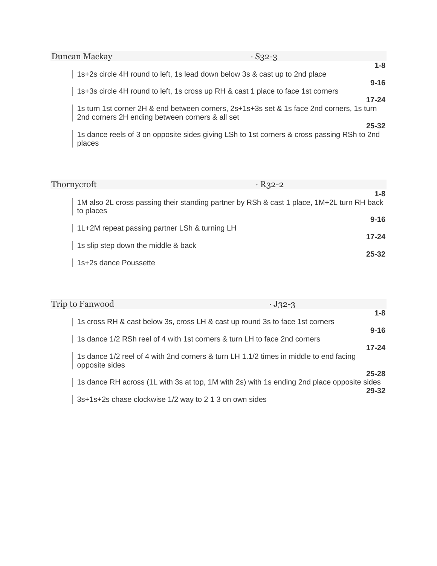| Duncan Mackay                                   | $\cdot$ S32-3                                                                                 |
|-------------------------------------------------|-----------------------------------------------------------------------------------------------|
|                                                 | $1 - 8$<br>1s+2s circle 4H round to left, 1s lead down below 3s & cast up to 2nd place        |
|                                                 | $9 - 16$                                                                                      |
|                                                 | 1s+3s circle 4H round to left, 1s cross up RH & cast 1 place to face 1st corners<br>$17 - 24$ |
| 2nd corners 2H ending between corners & all set | 1s turn 1st corner 2H & end between corners, 2s+1s+3s set & 1s face 2nd corners, 1s turn      |
|                                                 | $25 - 32$                                                                                     |
| places                                          | 1s dance reels of 3 on opposite sides giving LSh to 1st corners & cross passing RSh to 2nd    |

| Thornycroft                                   | $R_{32-2}$                                                                                           |
|-----------------------------------------------|------------------------------------------------------------------------------------------------------|
| to places                                     | $1 - 8$<br>1M also 2L cross passing their standing partner by RSh & cast 1 place, 1M+2L turn RH back |
| 1L+2M repeat passing partner LSh & turning LH | $9 - 16$                                                                                             |
| 1s slip step down the middle & back           | $17 - 24$<br>$25 - 32$                                                                               |
| 1s+2s dance Poussette                         |                                                                                                      |

| Trip to Fanwood                                        | $\cdot$ J32-3                                                                                                    |
|--------------------------------------------------------|------------------------------------------------------------------------------------------------------------------|
|                                                        | $1-8$<br>1s cross RH & cast below 3s, cross LH & cast up round 3s to face 1st corners                            |
|                                                        | $9 - 16$<br>1s dance 1/2 RSh reel of 4 with 1st corners & turn LH to face 2nd corners                            |
| opposite sides                                         | $17 - 24$<br>1s dance 1/2 reel of 4 with 2nd corners & turn LH 1.1/2 times in middle to end facing               |
|                                                        | $25 - 28$<br>1s dance RH across (1L with 3s at top, 1M with 2s) with 1s ending 2nd place opposite sides<br>29-32 |
| 3s+1s+2s chase clockwise 1/2 way to 2 1 3 on own sides |                                                                                                                  |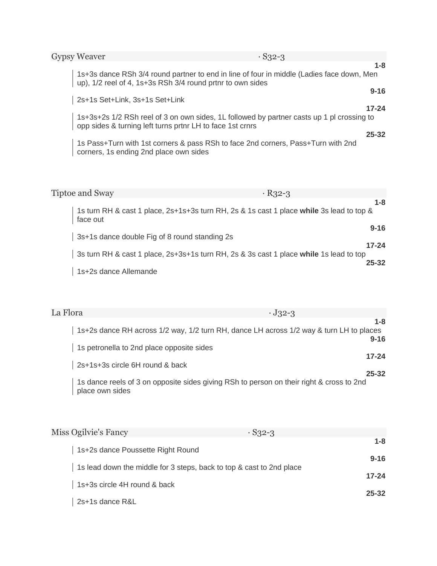| <b>Gypsy Weaver</b>            | $\cdot$ S32-3                                                                                                                                        |         |
|--------------------------------|------------------------------------------------------------------------------------------------------------------------------------------------------|---------|
|                                |                                                                                                                                                      | $1 - 8$ |
|                                | 1s+3s dance RSh 3/4 round partner to end in line of four in middle (Ladies face down, Men up), 1/2 reel of 4, 1s+3s RSh 3/4 round prtnr to own sides |         |
|                                | $9 - 16$                                                                                                                                             |         |
| 2s+1s Set+Link, 3s+1s Set+Link |                                                                                                                                                      |         |
|                                | $17 - 24$                                                                                                                                            |         |
|                                | 1s+3s+2s 1/2 RSh reel of 3 on own sides, 1L followed by partner casts up 1 pl crossing to opp sides & turning left turns prtnr LH to face 1st crnrs  |         |
|                                | $25 - 32$                                                                                                                                            |         |
|                                | 1s Pass+Turn with 1st corners & pass RSh to face 2nd corners, Pass+Turn with 2nd corners, 1s ending 2nd place own sides                              |         |
|                                |                                                                                                                                                      |         |
|                                |                                                                                                                                                      |         |

| <b>Tiptoe and Sway</b>                                                                 | $R_{32-3}$                                                                                          |
|----------------------------------------------------------------------------------------|-----------------------------------------------------------------------------------------------------|
| face out                                                                               | $1 - 8$<br>1s turn RH & cast 1 place, 2s+1s+3s turn RH, 2s & 1s cast 1 place while 3s lead to top & |
| 3s+1s dance double Fig of 8 round standing 2s                                          | $9 - 16$                                                                                            |
| 3s turn RH & cast 1 place, 2s+3s+1s turn RH, 2s & 3s cast 1 place while 1s lead to top | $17 - 24$<br>$25 - 32$                                                                              |
| 1s+2s dance Allemande                                                                  |                                                                                                     |

| La Flora                                                                                                    | $\cdot$ J32-3 |
|-------------------------------------------------------------------------------------------------------------|---------------|
| 1s+2s dance RH across 1/2 way, 1/2 turn RH, dance LH across 1/2 way & turn LH to places                     | $1 - 8$       |
| 1s petronella to 2nd place opposite sides                                                                   | $9 - 16$      |
|                                                                                                             | $17 - 24$     |
| 2s+1s+3s circle 6H round & back                                                                             | $25 - 32$     |
| 1s dance reels of 3 on opposite sides giving RSh to person on their right & cross to 2nd<br>place own sides |               |

| Miss Ogilvie's Fancy                                                 | $\cdot$ S32-3 |           |
|----------------------------------------------------------------------|---------------|-----------|
| 1s+2s dance Poussette Right Round                                    |               | $1 - 8$   |
|                                                                      |               | $9 - 16$  |
| 1s lead down the middle for 3 steps, back to top & cast to 2nd place |               | $17 - 24$ |
| 1s+3s circle 4H round & back                                         |               | $25 - 32$ |
| 2s+1s dance R&L                                                      |               |           |